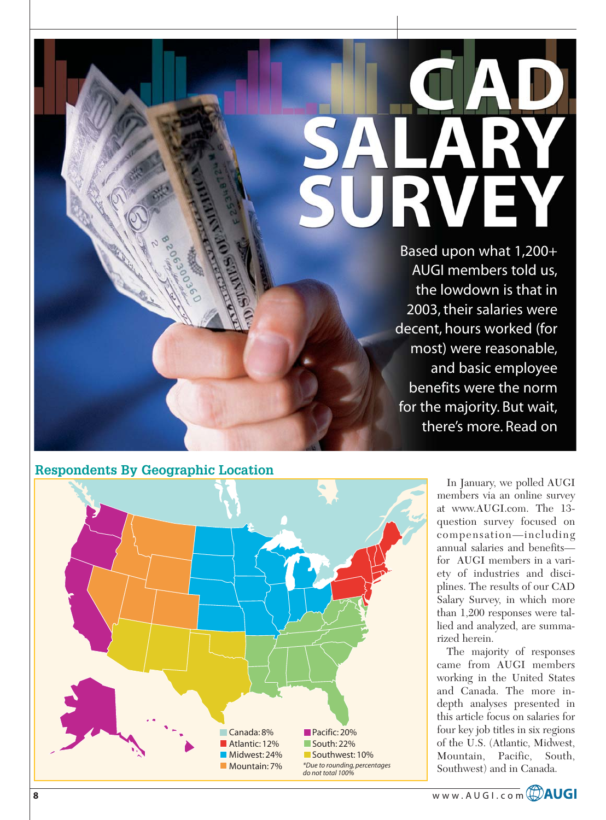# E R  $\overline{\phantom{0}}$

Based upon what 1,200+ AUGI members told us, the lowdown is that in 2003, their salaries were decent, hours worked (for most) were reasonable, and basic employee benefits were the norm for the majority. But wait, there's more. Read on

# **Respondents By Geographic Location**



In January, we polled AUGI members via an online survey at www.AUGI.com. The 13 question survey focused on compensation—including annual salaries and benefits for AUGI members in a variety of industries and disciplines. The results of our CAD Salary Survey, in which more than 1,200 responses were tallied and analyzed, are summarized herein.

The majority of responses came from AUGI members working in the United States and Canada. The more indepth analyses presented in this article focus on salaries for four key job titles in six regions of the U.S. (Atlantic, Midwest, Mountain, Pacific, South, Southwest) and in Canada.

**8** www.AUGI.com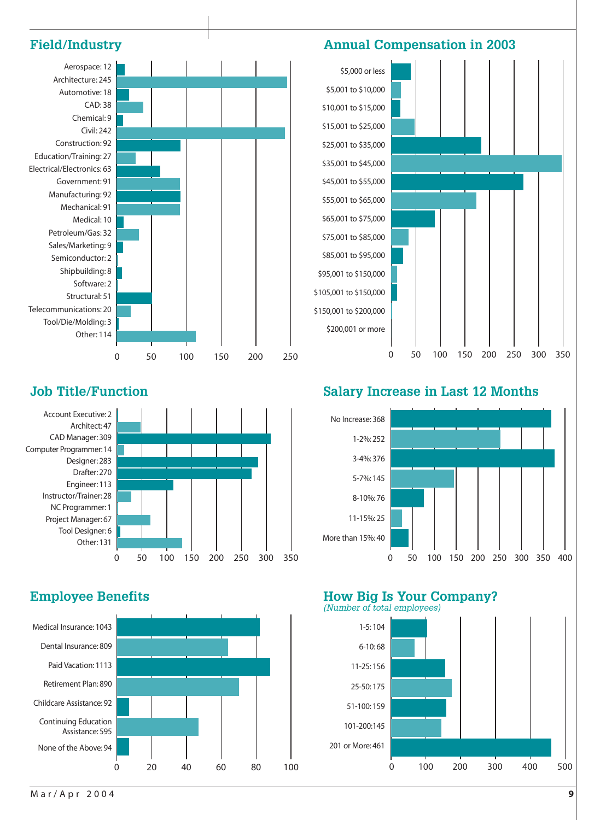

# **Job Title/Function**





# **Salary Increase in Last 12 Months**



## **Employee Benefits Francisco Employee Benefits** How Big Is Your Company? (Number of total employees)

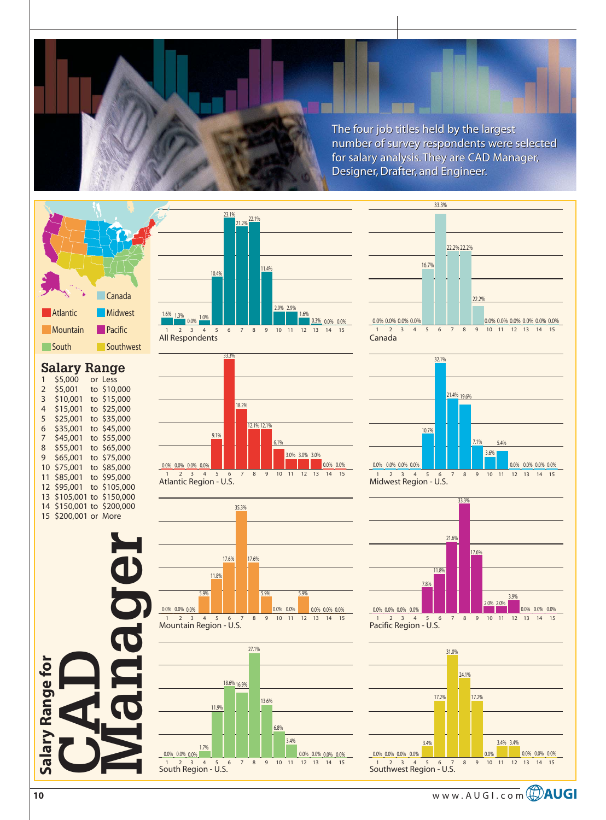The four job titles held by the largest The four job titles held by the largest number of survey respondents were selected for salary analysis. They are CAD Manager, Designer, Drafter, and Engineer. number of survey respondents were selected<br>for salary analysis. They are CAD Manager,<br>Designer, Drafter, and Engineer.



# **Salary Range**

| 1  | \$5,000   | or Less      |
|----|-----------|--------------|
| 2  | \$5,001   | to \$10,000  |
| 3  | \$10,001  | to \$15,000  |
| 4  | \$15,001  | to \$25,000  |
| 5  | \$25,001  | to \$35,000  |
| 6  | \$35,001  | to \$45,000  |
| 7  | \$45,001  | to \$55,000  |
| 8  | \$55,001  | to \$65,000  |
| 9  | \$65,001  | to \$75,000  |
| 10 | \$75,001  | to \$85,000  |
| 11 | \$85,001  | to \$95,000  |
| 12 | \$95,001  | to \$105,000 |
| 13 | \$105,001 | to \$150,000 |
| 14 | \$150,001 | to \$200,000 |
| 15 | \$200,001 | or More      |
|    |           |              |















Midwest Region - U.S.



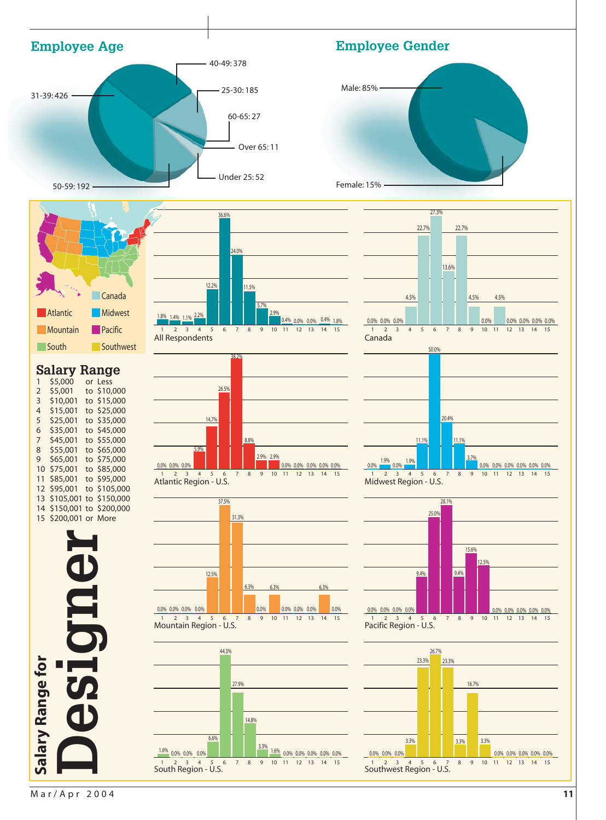

Mar/Apr 2004 **11**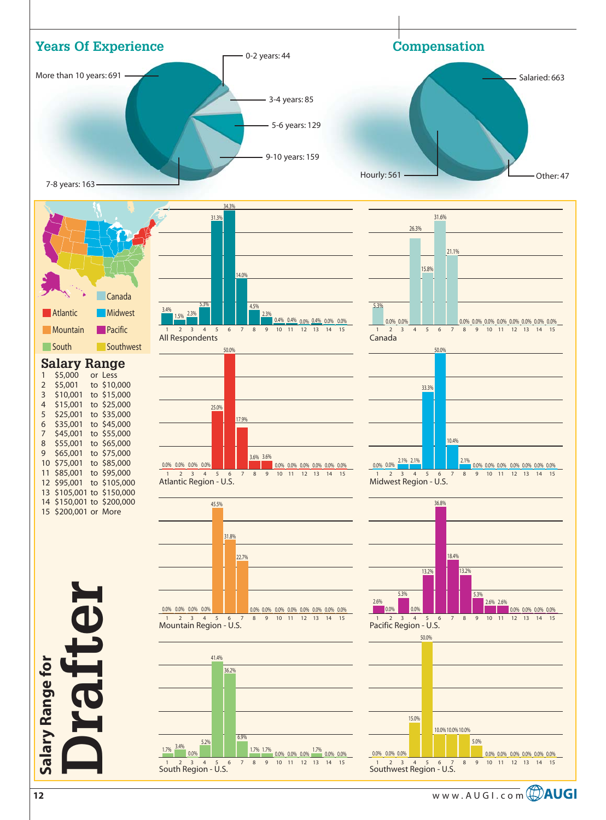